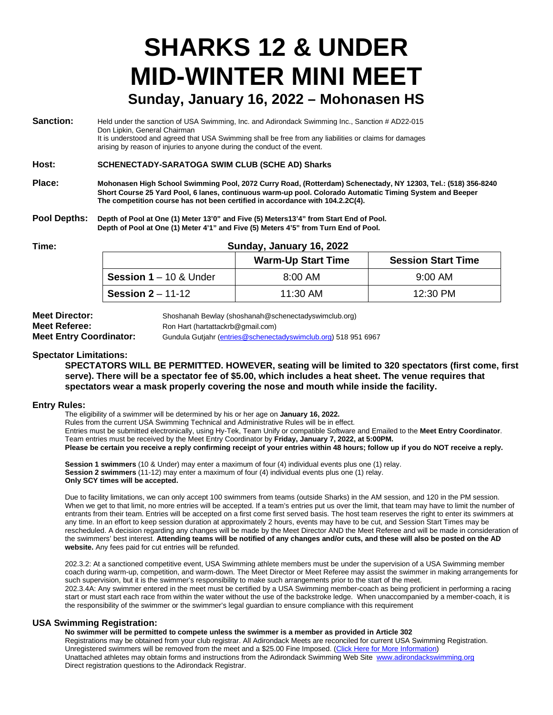## **SHARKS 12 & UNDER MID-WINTER MINI MEET Sunday, January 16, 2022 – Mohonasen HS**

| Sanction: | Held under the sanction of USA Swimming, Inc. and Adirondack Swimming Inc., Sanction # AD22-015        |
|-----------|--------------------------------------------------------------------------------------------------------|
|           | Don Lipkin, General Chairman                                                                           |
|           | It is understood and agreed that USA Swimming shall be free from any liabilities or claims for damages |
|           | arising by reason of injuries to anyone during the conduct of the event.                               |

**Host: SCHENECTADY-SARATOGA SWIM CLUB (SCHE AD) Sharks**

- **Place: Mohonasen High School Swimming Pool, 2072 Curry Road, (Rotterdam) Schenectady, NY 12303, Tel.: (518) 356-8240 Short Course 25 Yard Pool, 6 lanes, continuous warm-up pool. Colorado Automatic Timing System and Beeper The competition course has not been certified in accordance with 104.2.2C(4).**
- **Pool Depths: Depth of Pool at One (1) Meter 13'0" and Five (5) Meters13'4" from Start End of Pool. Depth of Pool at One (1) Meter 4'1" and Five (5) Meters 4'5" from Turn End of Pool.**

#### **Time: Sunday, January 16, 2022**

|                               | <b>Warm-Up Start Time</b> | <b>Session Start Time</b> |
|-------------------------------|---------------------------|---------------------------|
| <b>Session 1</b> – 10 & Under | $8:00 \, \text{AM}$       | $9:00 \, \text{AM}$       |
| <b>Session 2</b> – 11-12      | $11:30$ AM                | 12:30 PM                  |

| <b>Meet Director:</b>          | Shoshanah Bewlay (shoshanah@schenectadyswimclub.org)           |
|--------------------------------|----------------------------------------------------------------|
| <b>Meet Referee:</b>           | Ron Hart (hartattackrb@gmail.com)                              |
| <b>Meet Entry Coordinator:</b> | Gundula Gutjahr (entries@schenectadyswimclub.org) 518 951 6967 |

#### **Spectator Limitations:**

**SPECTATORS WILL BE PERMITTED. HOWEVER, seating will be limited to 320 spectators (first come, first serve). There will be a spectator fee of \$5.00, which includes a heat sheet. The venue requires that spectators wear a mask properly covering the nose and mouth while inside the facility.**

#### **Entry Rules:**

The eligibility of a swimmer will be determined by his or her age on **January 16, 2022.** Rules from the current USA Swimming Technical and Administrative Rules will be in effect. Entries must be submitted electronically, using Hy-Tek, Team Unify or compatible Software and Emailed to the **Meet Entry Coordinator**. Team entries must be received by the Meet Entry Coordinator by **Friday, January 7, 2022, at 5:00PM. Please be certain you receive a reply confirming receipt of your entries within 48 hours; follow up if you do NOT receive a reply.**

**Session 1 swimmers** (10 & Under) may enter a maximum of four (4) individual events plus one (1) relay. **Session 2 swimmers** (11-12) may enter a maximum of four (4) individual events plus one (1) relay. **Only SCY times will be accepted.**

Due to facility limitations, we can only accept 100 swimmers from teams (outside Sharks) in the AM session, and 120 in the PM session. When we get to that limit, no more entries will be accepted. If a team's entries put us over the limit, that team may have to limit the number of entrants from their team. Entries will be accepted on a first come first served basis. The host team reserves the right to enter its swimmers at any time. In an effort to keep session duration at approximately 2 hours, events may have to be cut, and Session Start Times may be rescheduled. A decision regarding any changes will be made by the Meet Director AND the Meet Referee and will be made in consideration of the swimmers' best interest. **Attending teams will be notified of any changes and/or cuts, and these will also be posted on the AD website.** Any fees paid for cut entries will be refunded.

202.3.2: At a sanctioned competitive event, USA Swimming athlete members must be under the supervision of a USA Swimming member coach during warm-up, competition, and warm-down. The Meet Director or Meet Referee may assist the swimmer in making arrangements for such supervision, but it is the swimmer's responsibility to make such arrangements prior to the start of the meet. 202.3.4A: Any swimmer entered in the meet must be certified by a USA Swimming member-coach as being proficient in performing a racing start or must start each race from within the water without the use of the backstroke ledge. When unaccompanied by a member-coach, it is the responsibility of the swimmer or the swimmer's legal guardian to ensure compliance with this requirement

#### **USA Swimming Registration:**

**No swimmer will be permitted to compete unless the swimmer is a member as provided in Article 302** Registrations may be obtained from your club registrar. All Adirondack Meets are reconciled for current USA Swimming Registration. Unregistered swimmers will be removed from the meet and a \$25.00 Fine Imposed. (Click Here for More Information) Unattached athletes may obtain forms and instructions from the Adirondack Swimming Web Site [www.adirondackswimming.org](http://www.adirondackswimming.org/) Direct registration questions to the Adirondack Registrar.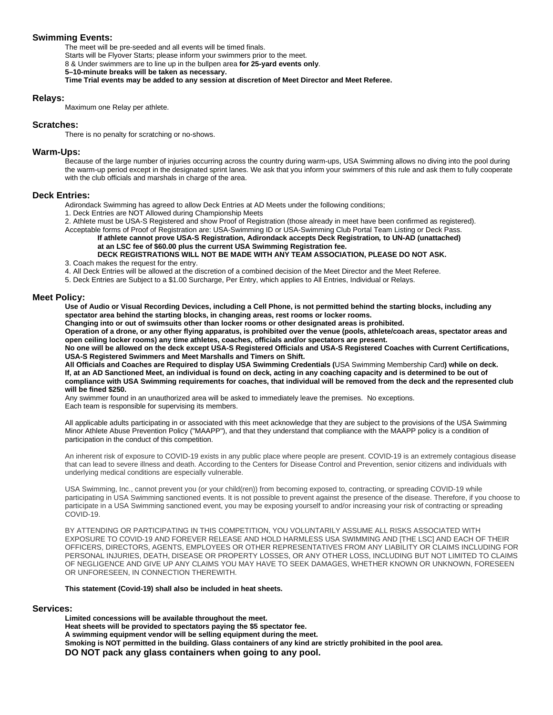#### **Swimming Events:**

The meet will be pre-seeded and all events will be timed finals. Starts will be Flyover Starts; please inform your swimmers prior to the meet. 8 & Under swimmers are to line up in the bullpen area **for 25-yard events only**. **5–10-minute breaks will be taken as necessary. Time Trial events may be added to any session at discretion of Meet Director and Meet Referee.**

#### **Relays:**

Maximum one Relay per athlete.

#### **Scratches:**

There is no penalty for scratching or no-shows.

#### **Warm-Ups:**

Because of the large number of injuries occurring across the country during warm-ups, USA Swimming allows no diving into the pool during the warm-up period except in the designated sprint lanes. We ask that you inform your swimmers of this rule and ask them to fully cooperate with the club officials and marshals in charge of the area.

#### **Deck Entries:**

Adirondack Swimming has agreed to allow Deck Entries at AD Meets under the following conditions;

1. Deck Entries are NOT Allowed during Championship Meets

2. Athlete must be USA-S Registered and show Proof of Registration (those already in meet have been confirmed as registered).

Acceptable forms of Proof of Registration are: USA-Swimming ID or USA-Swimming Club Portal Team Listing or Deck Pass.

**If athlete cannot prove USA-S Registration, Adirondack accepts Deck Registration***,* **to UN-AD (unattached) at an LSC fee of \$60.00 plus the current USA Swimming Registration fee. DECK REGISTRATIONS WILL NOT BE MADE WITH ANY TEAM ASSOCIATION, PLEASE DO NOT ASK.**

3. Coach makes the request for the entry.

4. All Deck Entries will be allowed at the discretion of a combined decision of the Meet Director and the Meet Referee.

5. Deck Entries are Subject to a \$1.00 Surcharge, Per Entry, which applies to All Entries, Individual or Relays.

#### **Meet Policy:**

**Use of Audio or Visual Recording Devices, including a Cell Phone, is not permitted behind the starting blocks, including any spectator area behind the starting blocks, in changing areas, rest rooms or locker rooms.**

**Changing into or out of swimsuits other than locker rooms or other designated areas is prohibited.** 

**Operation of a drone, or any other flying apparatus, is prohibited over the venue (pools, athlete/coach areas, spectator areas and open ceiling locker rooms) any time athletes, coaches, officials and/or spectators are present.**

**No one will be allowed on the deck except USA-S Registered Officials and USA-S Registered Coaches with Current Certifications, USA-S Registered Swimmers and Meet Marshalls and Timers on Shift.**

**All Officials and Coaches are Required to display USA Swimming Credentials (**USA Swimming Membership Card**) while on deck. If, at an AD Sanctioned Meet, an individual is found on deck, acting in any coaching capacity and is determined to be out of compliance with USA Swimming requirements for coaches, that individual will be removed from the deck and the represented club will be fined \$250.**

Any swimmer found in an unauthorized area will be asked to immediately leave the premises. No exceptions. Each team is responsible for supervising its members.

All applicable adults participating in or associated with this meet acknowledge that they are subject to the provisions of the USA Swimming Minor Athlete Abuse Prevention Policy ("MAAPP"), and that they understand that compliance with the MAAPP policy is a condition of participation in the conduct of this competition.

An inherent risk of exposure to COVID-19 exists in any public place where people are present. COVID-19 is an extremely contagious disease that can lead to severe illness and death. According to the Centers for Disease Control and Prevention, senior citizens and individuals with underlying medical conditions are especially vulnerable.

USA Swimming, Inc., cannot prevent you (or your child(ren)) from becoming exposed to, contracting, or spreading COVID-19 while participating in USA Swimming sanctioned events. It is not possible to prevent against the presence of the disease. Therefore, if you choose to participate in a USA Swimming sanctioned event, you may be exposing yourself to and/or increasing your risk of contracting or spreading COVID-19.

BY ATTENDING OR PARTICIPATING IN THIS COMPETITION, YOU VOLUNTARILY ASSUME ALL RISKS ASSOCIATED WITH EXPOSURE TO COVID-19 AND FOREVER RELEASE AND HOLD HARMLESS USA SWIMMING AND [THE LSC] AND EACH OF THEIR OFFICERS, DIRECTORS, AGENTS, EMPLOYEES OR OTHER REPRESENTATIVES FROM ANY LIABILITY OR CLAIMS INCLUDING FOR PERSONAL INJURIES, DEATH, DISEASE OR PROPERTY LOSSES, OR ANY OTHER LOSS, INCLUDING BUT NOT LIMITED TO CLAIMS OF NEGLIGENCE AND GIVE UP ANY CLAIMS YOU MAY HAVE TO SEEK DAMAGES, WHETHER KNOWN OR UNKNOWN, FORESEEN OR UNFORESEEN, IN CONNECTION THEREWITH.

#### **This statement (Covid-19) shall also be included in heat sheets.**

#### **Services:**

**Limited concessions will be available throughout the meet. Heat sheets will be provided to spectators paying the \$5 spectator fee. A swimming equipment vendor will be selling equipment during the meet. Smoking is NOT permitted in the building. Glass containers of any kind are strictly prohibited in the pool area. DO NOT pack any glass containers when going to any pool.**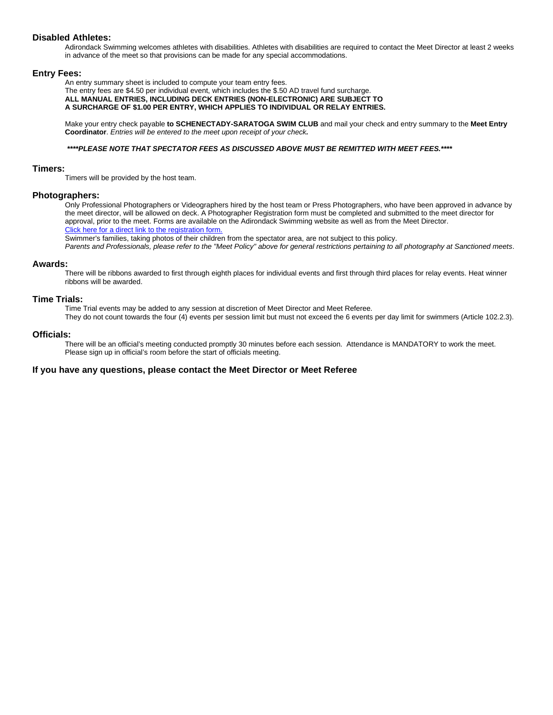#### **Disabled Athletes:**

Adirondack Swimming welcomes athletes with disabilities. Athletes with disabilities are required to contact the Meet Director at least 2 weeks in advance of the meet so that provisions can be made for any special accommodations.

#### **Entry Fees:**

An entry summary sheet is included to compute your team entry fees.

The entry fees are \$4.50 per individual event, which includes the \$.50 AD travel fund surcharge. **ALL MANUAL ENTRIES, INCLUDING DECK ENTRIES (NON-ELECTRONIC) ARE SUBJECT TO A SURCHARGE OF \$1.00 PER ENTRY, WHICH APPLIES TO INDIVIDUAL OR RELAY ENTRIES.**

Make your entry check payable **to SCHENECTADY-SARATOGA SWIM CLUB** and mail your check and entry summary to the **Meet Entry Coordinator**. *Entries will be entered to the meet upon receipt of your check.*

#### *\*\*\*\*PLEASE NOTE THAT SPECTATOR FEES AS DISCUSSED ABOVE MUST BE REMITTED WITH MEET FEES.\*\*\*\**

#### **Timers:**

Timers will be provided by the host team.

#### **Photographers:**

Only Professional Photographers or Videographers hired by the host team or Press Photographers, who have been approved in advance by the meet director, will be allowed on deck. A Photographer Registration form must be completed and submitted to the meet director for approval, prior to the meet. Forms are available on the Adirondack Swimming website as well as from the Meet Director. Click here for a direct link to the registration form.

Swimmer's families, taking photos of their children from the spectator area, are not subject to this policy.

*Parents and Professionals, please refer to the "Meet Policy" above for general restrictions pertaining to all photography at Sanctioned meets*.

#### **Awards:**

There will be ribbons awarded to first through eighth places for individual events and first through third places for relay events. Heat winner ribbons will be awarded.

#### **Time Trials:**

Time Trial events may be added to any session at discretion of Meet Director and Meet Referee. They do not count towards the four (4) events per session limit but must not exceed the 6 events per day limit for swimmers (Article 102.2.3).

#### **Officials:**

There will be an official's meeting conducted promptly 30 minutes before each session. Attendance is MANDATORY to work the meet. Please sign up in official's room before the start of officials meeting.

#### **If you have any questions, please contact the Meet Director or Meet Referee**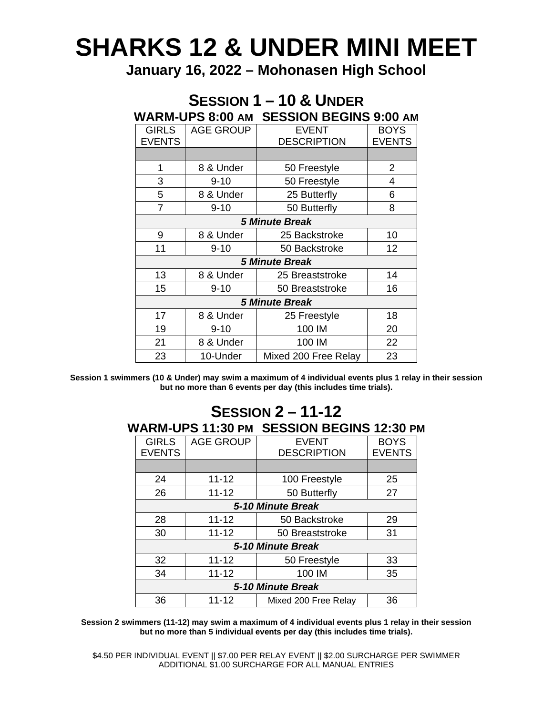# **SHARKS 12 & UNDER MINI MEET**

**January 16, 2022 – Mohonasen High School**

### **SESSION 1 – 10 & UNDER WARM-UPS 8:00 AM SESSION BEGINS 9:00 AM**

| <b>GIRLS</b>          | <b>AGE GROUP</b> | <b>EVENT</b>         | <b>BOYS</b>   |  |  |
|-----------------------|------------------|----------------------|---------------|--|--|
| <b>EVENTS</b>         |                  | <b>DESCRIPTION</b>   | <b>EVENTS</b> |  |  |
|                       |                  |                      |               |  |  |
| 1                     | 8 & Under        | 50 Freestyle         | 2             |  |  |
| 3                     | $9 - 10$         | 50 Freestyle         | 4             |  |  |
| 5                     | 8 & Under        | 25 Butterfly         | 6             |  |  |
| $\overline{7}$        | $9 - 10$         | 50 Butterfly         | 8             |  |  |
| <b>5 Minute Break</b> |                  |                      |               |  |  |
| 9                     | 8 & Under        | 25 Backstroke        | 10            |  |  |
| 11                    | $9 - 10$         | 50 Backstroke        | 12            |  |  |
| <b>5 Minute Break</b> |                  |                      |               |  |  |
| 13                    | 8 & Under        | 25 Breaststroke      | 14            |  |  |
| 15                    | $9 - 10$         | 50 Breaststroke      | 16            |  |  |
| <b>5 Minute Break</b> |                  |                      |               |  |  |
| 17                    | 8 & Under        | 25 Freestyle         | 18            |  |  |
| 19                    | $9 - 10$         | 100 IM               | 20            |  |  |
| 21                    | 8 & Under        | 100 IM               | 22            |  |  |
| 23                    | 10-Under         | Mixed 200 Free Relay | 23            |  |  |

**Session 1 swimmers (10 & Under) may swim a maximum of 4 individual events plus 1 relay in their session but no more than 6 events per day (this includes time trials).**

### **SESSION 2 – 11-12 WARM-UPS 11:30 PM SESSION BEGINS 12:30 PM**

| <b>GIRLS</b>      | <b>AGE GROUP</b> | <b>EVENT</b>         | <b>BOYS</b>   |  |  |
|-------------------|------------------|----------------------|---------------|--|--|
| <b>EVENTS</b>     |                  | <b>DESCRIPTION</b>   | <b>EVENTS</b> |  |  |
|                   |                  |                      |               |  |  |
| 24                | $11 - 12$        | 100 Freestyle        | 25            |  |  |
| 26                | $11 - 12$        | 50 Butterfly         | 27            |  |  |
| 5-10 Minute Break |                  |                      |               |  |  |
| 28                | $11 - 12$        | 50 Backstroke        | 29            |  |  |
| 30                | $11 - 12$        | 50 Breaststroke      | 31            |  |  |
| 5-10 Minute Break |                  |                      |               |  |  |
| 32                | $11 - 12$        | 50 Freestyle         | 33            |  |  |
| 34                | $11 - 12$        | 100 IM               | 35            |  |  |
| 5-10 Minute Break |                  |                      |               |  |  |
| 36                | $11 - 12$        | Mixed 200 Free Relay | 36            |  |  |

**Session 2 swimmers (11-12) may swim a maximum of 4 individual events plus 1 relay in their session but no more than 5 individual events per day (this includes time trials).**

\$4.50 PER INDIVIDUAL EVENT || \$7.00 PER RELAY EVENT || \$2.00 SURCHARGE PER SWIMMER ADDITIONAL \$1.00 SURCHARGE FOR ALL MANUAL ENTRIES